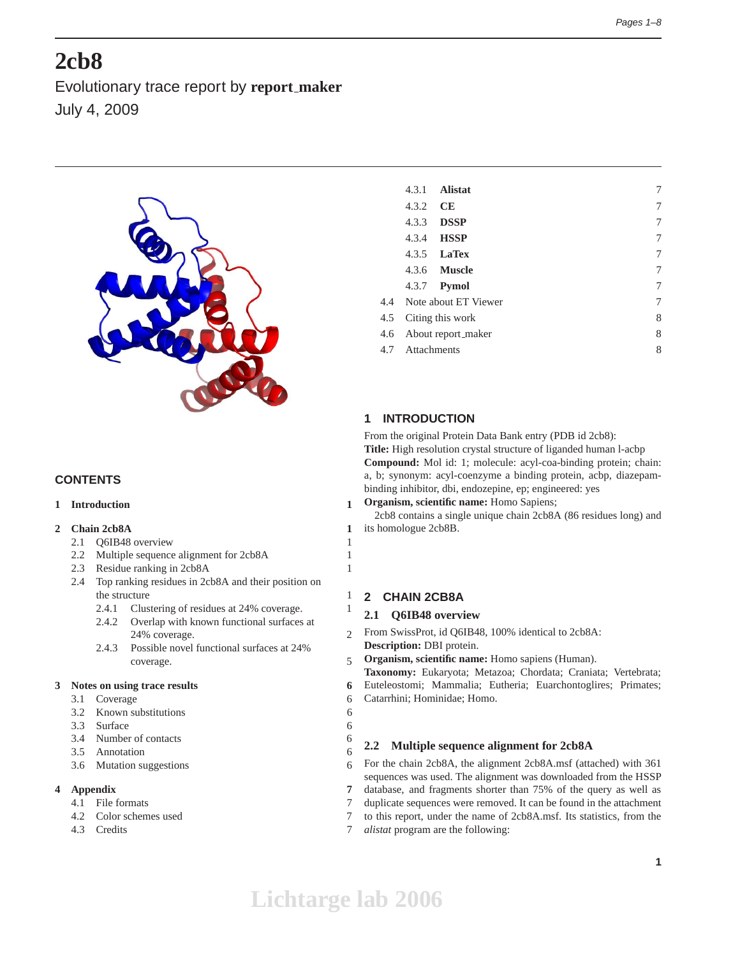# **2cb8**

Evolutionary trace report by **report maker** July 4, 2009



# **CONTENTS**

# **1 Introduction 1**

# **2 Chain 2cb8A 1**

- 2.1 Q6IB48 overview 1
- 2.2 Multiple sequence alignment for 2cb8A 1
- 2.3 Residue ranking in 2cb8A 1
- 2.4 Top ranking residues in 2cb8A and their position on the structure 1
	- 2.4.1 Clustering of residues at 24% coverage. 1
	- 2.4.2 Overlap with known functional surfaces at 24% coverage. 2
	- 2.4.3 Possible novel functional surfaces at 24% coverage. 5

# **3 Notes on using trace results 6**

- 3.1 Coverage 6
- 3.2 Known substitutions 6
- 3.3 Surface 6
- 3.4 Number of contacts 6
- 3.5 Annotation 6
- 3.6 Mutation suggestions 6

# **4 Appendix 7**

- 4.1 File formats 7
- 4.2 Color schemes used 7
- 4.3 Credits 7

|     | 4.3.1       | <b>Alistat</b>           | 7 |
|-----|-------------|--------------------------|---|
|     | 4.3.2       | <b>CE</b>                | 7 |
|     | 4.3.3       | <b>DSSP</b>              | 7 |
|     |             | 4.3.4 <b>HSSP</b>        | 7 |
|     |             | 4.3.5 <b>LaTex</b>       | 7 |
|     |             | 4.3.6 <b>Muscle</b>      | 7 |
|     |             | 4.3.7 <b>Pymol</b>       | 7 |
|     |             | 4.4 Note about ET Viewer | 7 |
| 4.5 |             | Citing this work         | 8 |
| 4.6 |             | About report_maker       | 8 |
| 4.7 | Attachments |                          | 8 |
|     |             |                          |   |

# **1 INTRODUCTION**

From the original Protein Data Bank entry (PDB id 2cb8): **Title:** High resolution crystal structure of liganded human l-acbp **Compound:** Mol id: 1; molecule: acyl-coa-binding protein; chain: a, b; synonym: acyl-coenzyme a binding protein, acbp, diazepambinding inhibitor, dbi, endozepine, ep; engineered: yes

**Organism, scientific name:** Homo Sapiens;

2cb8 contains a single unique chain 2cb8A (86 residues long) and its homologue 2cb8B.

# **2 CHAIN 2CB8A**

# **2.1 Q6IB48 overview**

From SwissProt, id Q6IB48, 100% identical to 2cb8A: **Description:** DBI protein.

**Organism, scientific name:** Homo sapiens (Human).

**Taxonomy:** Eukaryota; Metazoa; Chordata; Craniata; Vertebrata;

Euteleostomi; Mammalia; Eutheria; Euarchontoglires; Primates;

Catarrhini; Hominidae; Homo.

# **2.2 Multiple sequence alignment for 2cb8A**

For the chain 2cb8A, the alignment 2cb8A.msf (attached) with 361 sequences was used. The alignment was downloaded from the HSSP database, and fragments shorter than 75% of the query as well as duplicate sequences were removed. It can be found in the attachment to this report, under the name of 2cb8A.msf. Its statistics, from the *alistat* program are the following: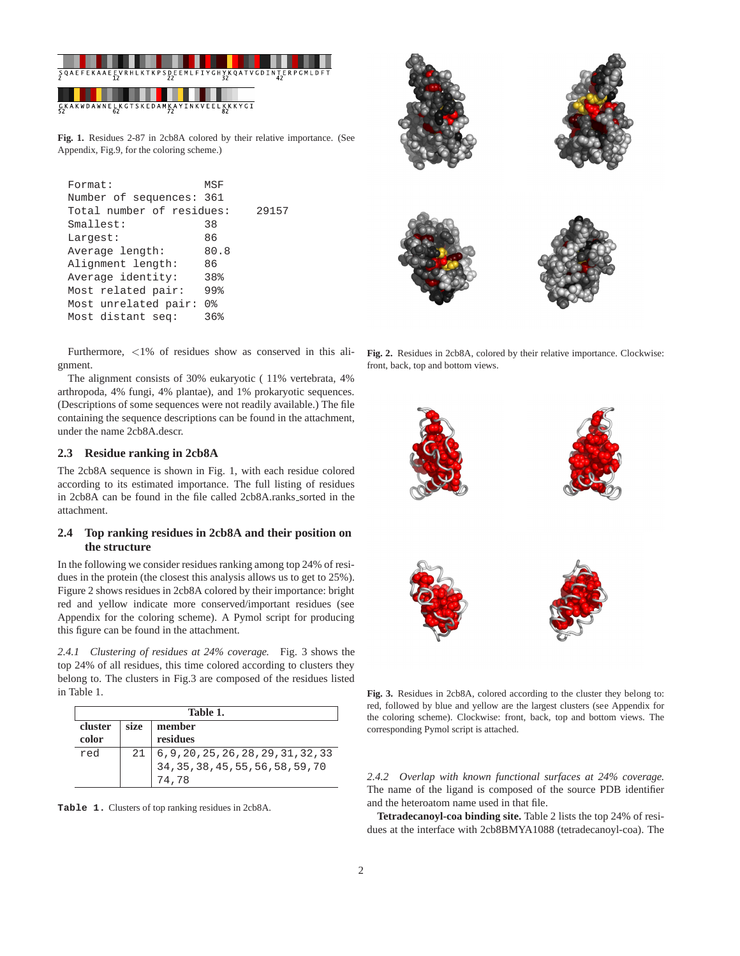

**Fig. 1.** Residues 2-87 in 2cb8A colored by their relative importance. (See Appendix, Fig.9, for the coloring scheme.)

| Format:                   | MSF  |       |
|---------------------------|------|-------|
| Number of sequences: 361  |      |       |
| Total number of residues: |      | 29157 |
| Smallest:                 | 38   |       |
| Largest:                  | 86   |       |
| Average length:           | 80.8 |       |
| Alignment length:         | 86   |       |
| Average identity:         | 38%  |       |
| Most related pair:        | 99%  |       |
| Most unrelated pair:      | 0 %  |       |
| Most distant seq:         | 36%  |       |
|                           |      |       |

Furthermore, <1% of residues show as conserved in this alignment.

The alignment consists of 30% eukaryotic ( 11% vertebrata, 4% arthropoda, 4% fungi, 4% plantae), and 1% prokaryotic sequences. (Descriptions of some sequences were not readily available.) The file containing the sequence descriptions can be found in the attachment, under the name 2cb8A.descr.

## **2.3 Residue ranking in 2cb8A**

The 2cb8A sequence is shown in Fig. 1, with each residue colored according to its estimated importance. The full listing of residues in 2cb8A can be found in the file called 2cb8A.ranks\_sorted in the attachment.

# **2.4 Top ranking residues in 2cb8A and their position on the structure**

In the following we consider residues ranking among top 24% of residues in the protein (the closest this analysis allows us to get to 25%). Figure 2 shows residues in 2cb8A colored by their importance: bright red and yellow indicate more conserved/important residues (see Appendix for the coloring scheme). A Pymol script for producing this figure can be found in the attachment.

*2.4.1 Clustering of residues at 24% coverage.* Fig. 3 shows the top 24% of all residues, this time colored according to clusters they belong to. The clusters in Fig.3 are composed of the residues listed in Table 1.

| Table 1. |      |          |  |  |
|----------|------|----------|--|--|
| cluster  | size | member   |  |  |
| color    |      | residues |  |  |
| red      | 21   |          |  |  |
|          |      |          |  |  |
|          |      | 74.78    |  |  |

**Table 1.** Clusters of top ranking residues in 2cb8A.



**Fig. 2.** Residues in 2cb8A, colored by their relative importance. Clockwise: front, back, top and bottom views.



**Fig. 3.** Residues in 2cb8A, colored according to the cluster they belong to: red, followed by blue and yellow are the largest clusters (see Appendix for the coloring scheme). Clockwise: front, back, top and bottom views. The corresponding Pymol script is attached.

*2.4.2 Overlap with known functional surfaces at 24% coverage.* The name of the ligand is composed of the source PDB identifier and the heteroatom name used in that file.

**Tetradecanoyl-coa binding site.** Table 2 lists the top 24% of residues at the interface with 2cb8BMYA1088 (tetradecanoyl-coa). The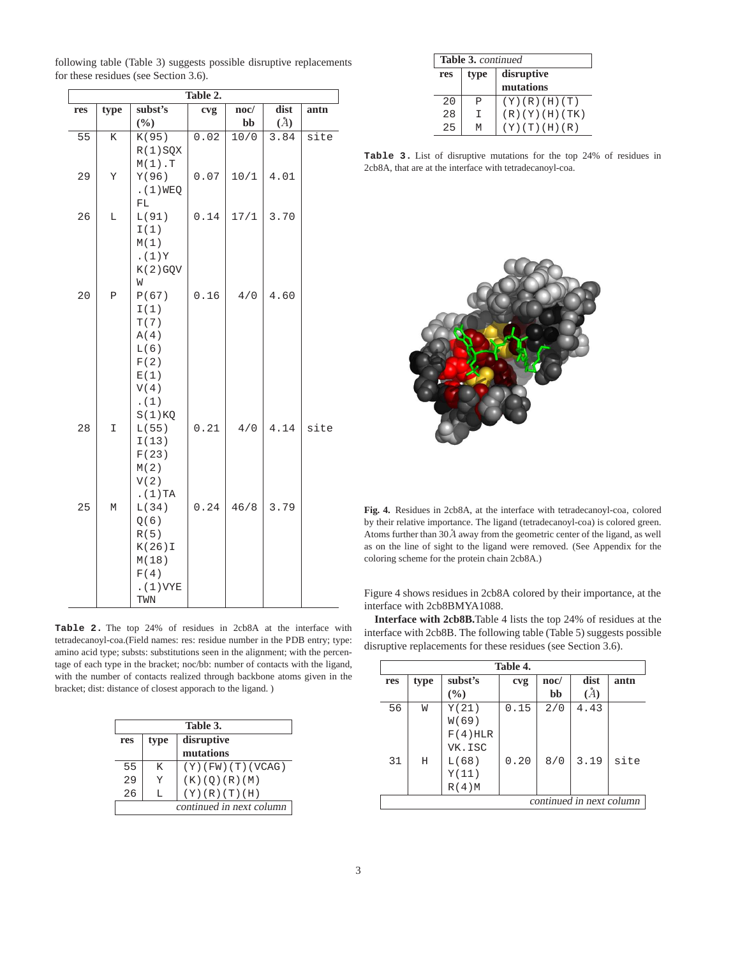| Table 2. |             |              |      |      |               |      |  |  |
|----------|-------------|--------------|------|------|---------------|------|--|--|
| res      | type        | subst's      | cvg  | noc/ | dist          | antn |  |  |
|          |             | $(\%)$       |      | bb   | $\mathcal{L}$ |      |  |  |
| 55       | K           | K(95)        | 0.02 | 10/0 | 3.84          | site |  |  |
|          |             | $R(1)$ SQX   |      |      |               |      |  |  |
|          |             | $M(1)$ . T   |      |      |               |      |  |  |
| 29       | Y           | Y(96)        | 0.07 | 10/1 | 4.01          |      |  |  |
|          |             | . (1) WEQ    |      |      |               |      |  |  |
|          |             | FL           |      |      |               |      |  |  |
| 26       | Г           | L(91)        | 0.14 | 17/1 | 3.70          |      |  |  |
|          |             | I(1)         |      |      |               |      |  |  |
|          |             | M(1)         |      |      |               |      |  |  |
|          |             | . $(1)Y$     |      |      |               |      |  |  |
|          |             | K(2) GQV     |      |      |               |      |  |  |
|          |             | W            |      |      |               |      |  |  |
| 20       | $\mathbf P$ | P(67)        | 0.16 | 4/0  | 4.60          |      |  |  |
|          |             | I(1)         |      |      |               |      |  |  |
|          |             | T(7)         |      |      |               |      |  |  |
|          |             | A(4)<br>L(6) |      |      |               |      |  |  |
|          |             | F(2)         |      |      |               |      |  |  |
|          |             | E(1)         |      |      |               |      |  |  |
|          |             | V(4)         |      |      |               |      |  |  |
|          |             | . (1)        |      |      |               |      |  |  |
|          |             | $S(1)$ KQ    |      |      |               |      |  |  |
| 28       | I           | L(55)        | 0.21 | 4/0  | 4.14          | site |  |  |
|          |             | I(13)        |      |      |               |      |  |  |
|          |             | F(23)        |      |      |               |      |  |  |
|          |             | M(2)         |      |      |               |      |  |  |
|          |             | V(2)         |      |      |               |      |  |  |
|          |             | . $(1)$ TA   |      |      |               |      |  |  |
| 25       | M           | L(34)        | 0.24 | 46/8 | 3.79          |      |  |  |
|          |             | Q(6)         |      |      |               |      |  |  |
|          |             | R(5)         |      |      |               |      |  |  |
|          |             | $K(26)$ I    |      |      |               |      |  |  |
|          |             | M(18)        |      |      |               |      |  |  |
|          |             | F(4)         |      |      |               |      |  |  |
|          |             | . (1) VYE    |      |      |               |      |  |  |
|          |             | TWN          |      |      |               |      |  |  |

following table (Table 3) suggests possible disruptive replacements for these residues (see Section 3.6).

**Table 2.** The top 24% of residues in 2cb8A at the interface with tetradecanoyl-coa.(Field names: res: residue number in the PDB entry; type: amino acid type; substs: substitutions seen in the alignment; with the percentage of each type in the bracket; noc/bb: number of contacts with the ligand, with the number of contacts realized through backbone atoms given in the bracket; dist: distance of closest apporach to the ligand. )

| Table 3.                  |    |                         |  |  |
|---------------------------|----|-------------------------|--|--|
| disruptive<br>type<br>res |    |                         |  |  |
|                           |    | mutations               |  |  |
| 55                        | K  | $(Y)$ (FW) $(T)$ (VCAG) |  |  |
| 2.9                       | Y  | (K)(O)(R)(M)            |  |  |
| 2.6                       | т. | (Y)(R)(T)(H)            |  |  |
| continued in next column  |    |                         |  |  |

| Table 3. continued |           |                         |  |  |  |
|--------------------|-----------|-------------------------|--|--|--|
| res                | type      | disruptive              |  |  |  |
|                    | mutations |                         |  |  |  |
| 2.0                | P         | (Y)(R)(H)(T)            |  |  |  |
| 28                 | Т         | (R)(Y)(H)(TK)           |  |  |  |
| 25                 | м         | $(Y)$ $(T)$ $(H)$ $(R)$ |  |  |  |

**Table 3.** List of disruptive mutations for the top 24% of residues in 2cb8A, that are at the interface with tetradecanoyl-coa.



**Fig. 4.** Residues in 2cb8A, at the interface with tetradecanoyl-coa, colored by their relative importance. The ligand (tetradecanoyl-coa) is colored green. Atoms further than  $30\AA$  away from the geometric center of the ligand, as well as on the line of sight to the ligand were removed. (See Appendix for the coloring scheme for the protein chain 2cb8A.)

Figure 4 shows residues in 2cb8A colored by their importance, at the interface with 2cb8BMYA1088.

**Interface with 2cb8B.**Table 4 lists the top 24% of residues at the interface with 2cb8B. The following table (Table 5) suggests possible disruptive replacements for these residues (see Section 3.6).

| Table 4.                 |      |            |      |      |      |      |  |
|--------------------------|------|------------|------|------|------|------|--|
| res                      | type | subst's    | cvg  | noc/ | dist | antn |  |
|                          |      | (%)        |      | bb   | (A)  |      |  |
| 56                       | W    | Y(21)      | 0.15 | 2/0  | 4.43 |      |  |
|                          |      | W(69)      |      |      |      |      |  |
|                          |      | $F(4)$ HLR |      |      |      |      |  |
|                          |      | VK.ISC     |      |      |      |      |  |
| 31                       | Η    | L(68)      | 0.20 | 8/0  | 3.19 | site |  |
|                          |      | Y(11)      |      |      |      |      |  |
|                          |      | R(4)M      |      |      |      |      |  |
| continued in next column |      |            |      |      |      |      |  |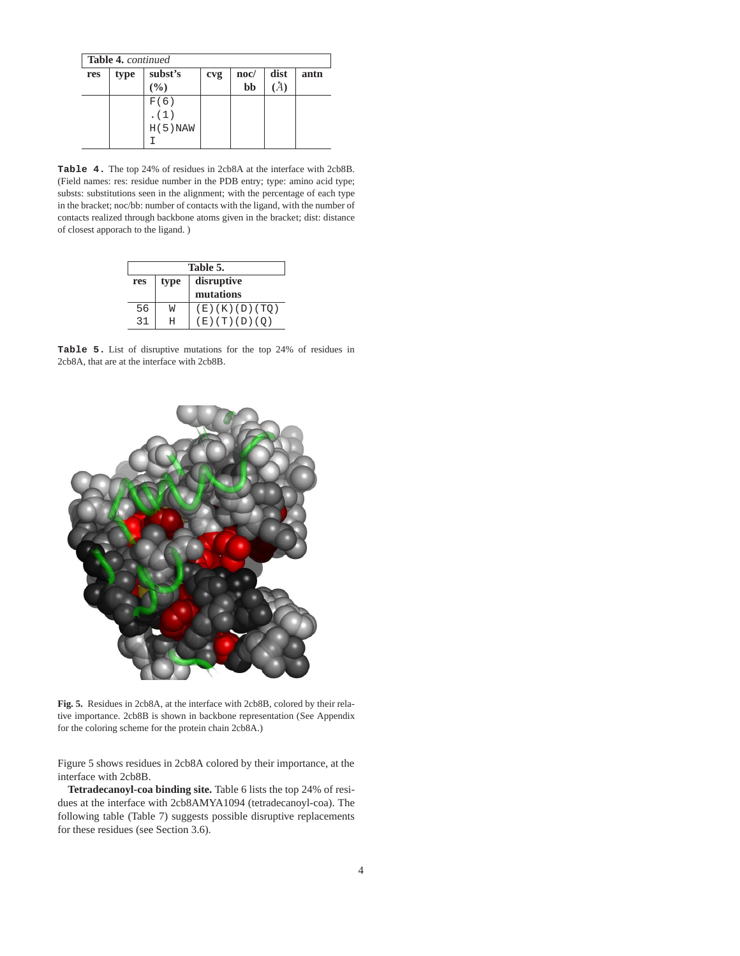| <b>Table 4.</b> continued |      |            |     |                 |      |      |  |
|---------------------------|------|------------|-----|-----------------|------|------|--|
| res                       | type | subst's    | cvg | $\mathbf{noc}/$ | dist | antn |  |
|                           |      | (9/0)      |     | bb              |      |      |  |
|                           |      | F(6)       |     |                 |      |      |  |
|                           |      | . (1)      |     |                 |      |      |  |
|                           |      | $H(5)$ NAW |     |                 |      |      |  |
|                           |      |            |     |                 |      |      |  |

**Table 4.** The top 24% of residues in 2cb8A at the interface with 2cb8B. (Field names: res: residue number in the PDB entry; type: amino acid type; substs: substitutions seen in the alignment; with the percentage of each type in the bracket; noc/bb: number of contacts with the ligand, with the number of contacts realized through backbone atoms given in the bracket; dist: distance of closest apporach to the ligand. )

| Table 5.                  |           |               |  |  |  |
|---------------------------|-----------|---------------|--|--|--|
| disruptive<br>type<br>res |           |               |  |  |  |
|                           | mutations |               |  |  |  |
| 56                        | M         | (E)(K)(D)(TO) |  |  |  |
| 31                        |           | (E)(T)(D)(O)  |  |  |  |

**Table 5.** List of disruptive mutations for the top 24% of residues in 2cb8A, that are at the interface with 2cb8B.



**Fig. 5.** Residues in 2cb8A, at the interface with 2cb8B, colored by their relative importance. 2cb8B is shown in backbone representation (See Appendix for the coloring scheme for the protein chain 2cb8A.)

Figure 5 shows residues in 2cb8A colored by their importance, at the interface with 2cb8B.

**Tetradecanoyl-coa binding site.** Table 6 lists the top 24% of residues at the interface with 2cb8AMYA1094 (tetradecanoyl-coa). The following table (Table 7) suggests possible disruptive replacements for these residues (see Section 3.6).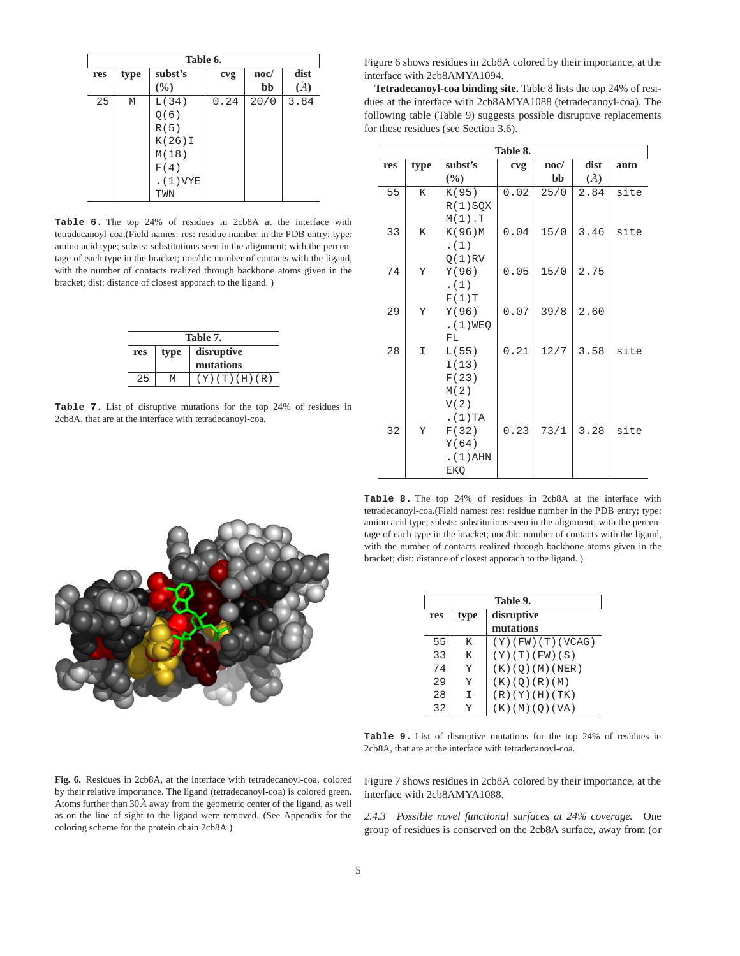| Table 6. |      |           |      |      |      |  |  |
|----------|------|-----------|------|------|------|--|--|
| res      | type | subst's   | cvg  | noc/ | dist |  |  |
|          |      | (%)       |      | bb   |      |  |  |
| 25       | M    | L(34)     | 0.24 | 20/0 | 3.84 |  |  |
|          |      | Q(6)      |      |      |      |  |  |
|          |      | R(5)      |      |      |      |  |  |
|          |      | $K(26)$ I |      |      |      |  |  |
|          |      | M(18)     |      |      |      |  |  |
|          |      | F(4)      |      |      |      |  |  |
|          |      | . (1) VYE |      |      |      |  |  |
|          |      | TWN       |      |      |      |  |  |

**Table 6.** The top 24% of residues in 2cb8A at the interface with tetradecanoyl-coa.(Field names: res: residue number in the PDB entry; type: amino acid type; substs: substitutions seen in the alignment; with the percentage of each type in the bracket; noc/bb: number of contacts with the ligand, with the number of contacts realized through backbone atoms given in the bracket; dist: distance of closest apporach to the ligand. )

| Table 7. |                    |              |  |  |  |  |
|----------|--------------------|--------------|--|--|--|--|
| res      | disruptive<br>type |              |  |  |  |  |
|          | mutations          |              |  |  |  |  |
| 25       | М                  | (Y)(T)(H)(R) |  |  |  |  |

**Table 7.** List of disruptive mutations for the top 24% of residues in 2cb8A, that are at the interface with tetradecanoyl-coa.

Figure 6 shows residues in 2cb8A colored by their importance, at the interface with 2cb8AMYA1094.

**Tetradecanoyl-coa binding site.** Table 8 lists the top 24% of residues at the interface with 2cb8AMYA1088 (tetradecanoyl-coa). The following table (Table 9) suggests possible disruptive replacements for these residues (see Section 3.6).

| Table 8. |      |             |      |                 |      |      |  |  |
|----------|------|-------------|------|-----------------|------|------|--|--|
| res      | type | subst's     | cvg  | $\mathbf{noc}/$ | dist | antn |  |  |
|          |      | $(\%)$      |      | bb              | (A)  |      |  |  |
| 55       | K.   | K(95)       | 0.02 | 25/0            | 2.84 | site |  |  |
|          |      | $R(1)$ SQX  |      |                 |      |      |  |  |
|          |      | $M(1)$ . T  |      |                 |      |      |  |  |
| 33       | K    | K(96)M      | 0.04 | 15/0            | 3.46 | site |  |  |
|          |      | . (1)       |      |                 |      |      |  |  |
|          |      | $Q(1)$ RV   |      |                 |      |      |  |  |
| 74       | Υ    | Y(96)       | 0.05 | 15/0            | 2.75 |      |  |  |
|          |      | . (1)       |      |                 |      |      |  |  |
|          |      | F(1)T       |      |                 |      |      |  |  |
| 29       | Y    | Y(96)       | 0.07 | 39/8            | 2.60 |      |  |  |
|          |      | .(1)WEQ     |      |                 |      |      |  |  |
|          |      | FL.         |      |                 |      |      |  |  |
| 28       | I    | L(55)       | 0.21 | 12/7            | 3.58 | site |  |  |
|          |      | I(13)       |      |                 |      |      |  |  |
|          |      | F(23)       |      |                 |      |      |  |  |
|          |      | M(2)        |      |                 |      |      |  |  |
|          |      | V(2)        |      |                 |      |      |  |  |
|          |      | . $(1)$ TA  |      |                 |      |      |  |  |
| 32       | Y    | F(32)       | 0.23 | 73/1            | 3.28 | site |  |  |
|          |      | Y(64)       |      |                 |      |      |  |  |
|          |      | $. (1)$ AHN |      |                 |      |      |  |  |
|          |      | EKQ         |      |                 |      |      |  |  |

**Table 8.** The top 24% of residues in 2cb8A at the interface with tetradecanoyl-coa.(Field names: res: residue number in the PDB entry; type: amino acid type; substs: substitutions seen in the alignment; with the percentage of each type in the bracket; noc/bb: number of contacts with the ligand, with the number of contacts realized through backbone atoms given in the bracket; dist: distance of closest apporach to the ligand. )

|     | Table 9. |                         |  |  |  |
|-----|----------|-------------------------|--|--|--|
| res | type     | disruptive              |  |  |  |
|     |          | mutations               |  |  |  |
| 55  | K        | $(Y)$ (FW) $(T)$ (VCAG) |  |  |  |
| 33  | K        | (Y)(T)(FW)(S)           |  |  |  |
| 74  | Y        | (K)(O)(M)(NER)          |  |  |  |
| 29  | Y        | (K)(Q)(R)(M)            |  |  |  |
| 28  | T        | (R)(Y)(H)(TK)           |  |  |  |
| 32  | v        | (K) (M) (Q) (VA)        |  |  |  |

**Table 9.** List of disruptive mutations for the top 24% of residues in 2cb8A, that are at the interface with tetradecanoyl-coa.

Figure 7 shows residues in 2cb8A colored by their importance, at the interface with 2cb8AMYA1088.

*2.4.3 Possible novel functional surfaces at 24% coverage.* One group of residues is conserved on the 2cb8A surface, away from (or



**Fig. 6.** Residues in 2cb8A, at the interface with tetradecanoyl-coa, colored by their relative importance. The ligand (tetradecanoyl-coa) is colored green. Atoms further than  $30\AA$  away from the geometric center of the ligand, as well as on the line of sight to the ligand were removed. (See Appendix for the coloring scheme for the protein chain 2cb8A.)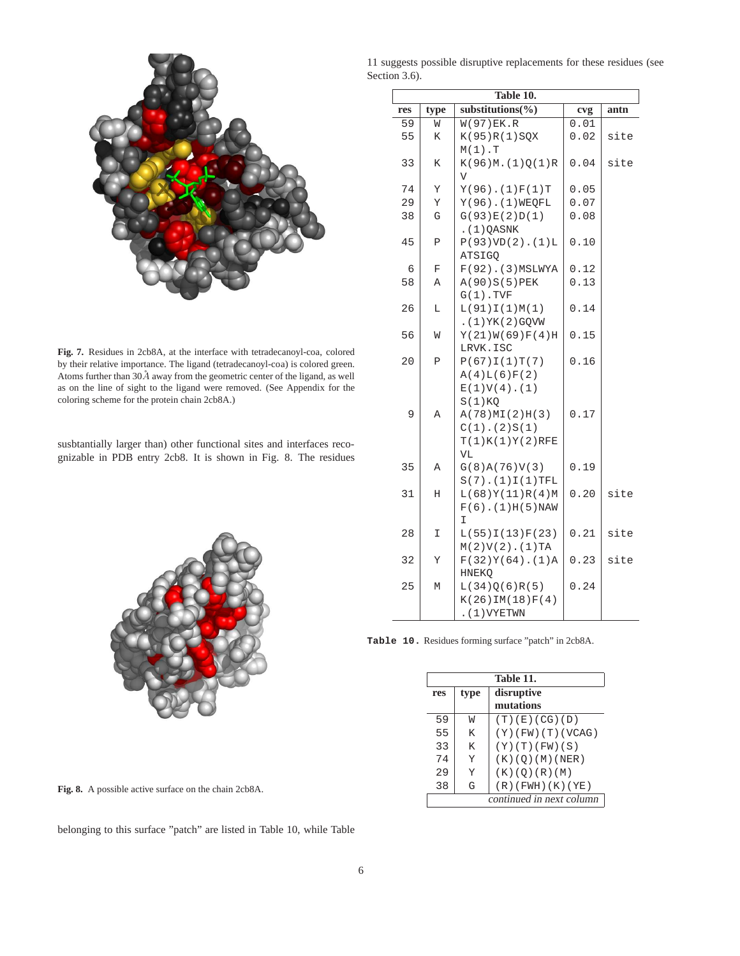

**Fig. 7.** Residues in 2cb8A, at the interface with tetradecanoyl-coa, colored by their relative importance. The ligand (tetradecanoyl-coa) is colored green. Atoms further than  $30\AA$  away from the geometric center of the ligand, as well as on the line of sight to the ligand were removed. (See Appendix for the coloring scheme for the protein chain 2cb8A.)

susbtantially larger than) other functional sites and interfaces recognizable in PDB entry 2cb8. It is shown in Fig. 8. The residues



**Fig. 8.** A possible active surface on the chain 2cb8A.

belonging to this surface "patch" are listed in Table 10, while Table

11 suggests possible disruptive replacements for these residues (see Section 3.6).

| Table 10. |      |                         |      |      |  |  |
|-----------|------|-------------------------|------|------|--|--|
| res       | type | substitutions(%)        | cvg  | antn |  |  |
| 59        | W    | $W(97)$ EK.R            | 0.01 |      |  |  |
| 55        | Κ    | K(95)R(1)SQX            | 0.02 | site |  |  |
|           |      | $M(1)$ . T              |      |      |  |  |
| 33        | K    | K(96)M.(1)Q(1)R         | 0.04 | site |  |  |
|           |      | V                       |      |      |  |  |
| 74        | Υ    | $Y(96)$ . $(1)F(1)T$    | 0.05 |      |  |  |
| 29        | Υ    | $Y(96)$ . (1) WEQFL     | 0.07 |      |  |  |
| 38        | G    | G(93)E(2)D(1)           | 0.08 |      |  |  |
|           |      | $(1)$ QASNK             |      |      |  |  |
| 45        | Ρ    | $P(93)VD(2)$ . $(1)L$   | 0.10 |      |  |  |
|           |      | <b>ATSIGO</b>           |      |      |  |  |
| 6         | F    | $F(92)$ . (3) MSLWYA    | 0.12 |      |  |  |
| 58        | Α    | A(90)S(5)PEK            | 0.13 |      |  |  |
|           |      | $G(1)$ . TVF            |      |      |  |  |
| 26        | Г    | L(91)I(1)M(1)           | 0.14 |      |  |  |
|           |      | $.(1)$ YK $(2)$ GQVW    |      |      |  |  |
| 56        | M    | Y(21)W(69)F(4)H         | 0.15 |      |  |  |
|           |      | LRVK.ISC                |      |      |  |  |
| 20        | P    | P(67)I(1)T(7)           | 0.16 |      |  |  |
|           |      | A(4)L(6)F(2)            |      |      |  |  |
|           |      | $E(1)V(4)$ . (1)        |      |      |  |  |
|           |      | S(1)KO                  |      |      |  |  |
| 9         | Α    | A(78)ML(2)H(3)          | 0.17 |      |  |  |
|           |      | $C(1)$ . (2) $S(1)$     |      |      |  |  |
|           |      | T(1)K(1)Y(2)RFE         |      |      |  |  |
|           |      | VL                      |      |      |  |  |
| 35        | Α    | G(8)A(76)V(3)           | 0.19 |      |  |  |
|           |      | $S(7)$ . $(1)I(1)TFL$   |      |      |  |  |
| 31        | Н    | L(68)Y(11)R(4)M         | 0.20 | site |  |  |
|           |      | $F(6)$ . (1) $H(5)$ NAW |      |      |  |  |
|           |      | I                       |      |      |  |  |
| 28        | I    | L(55)I(13)F(23)         | 0.21 | site |  |  |
|           |      | $M(2)V(2)$ . $(1)TA$    |      |      |  |  |
| 32        | Υ    | $F(32)Y(64)$ . (1)A     | 0.23 | site |  |  |
|           |      | <b>HNEKO</b>            |      |      |  |  |
| 25        | М    | L(34)Q(6)R(5)           | 0.24 |      |  |  |
|           |      | $K(26)$ IM(18) $F(4)$   |      |      |  |  |
|           |      | . (1) VYETWN            |      |      |  |  |

**Table 10.** Residues forming surface "patch" in 2cb8A.

|     | Table 11.                |                        |  |  |  |
|-----|--------------------------|------------------------|--|--|--|
| res | type                     | disruptive             |  |  |  |
|     |                          | mutations              |  |  |  |
| 59  | W                        | (T)(E)(CG)(D)          |  |  |  |
| 55  | K                        | $(Y)$ (FW) (T) (VCAG)  |  |  |  |
| 33  | K                        | (Y)(T)(FW)(S)          |  |  |  |
| 74  | Y                        | (K)(O)(M)(NER)         |  |  |  |
| 29  | Y                        | (K)(O)(R)(M)           |  |  |  |
| 38  | G                        | $(R)$ (FWH) $(K)$ (YE) |  |  |  |
|     | continued in next column |                        |  |  |  |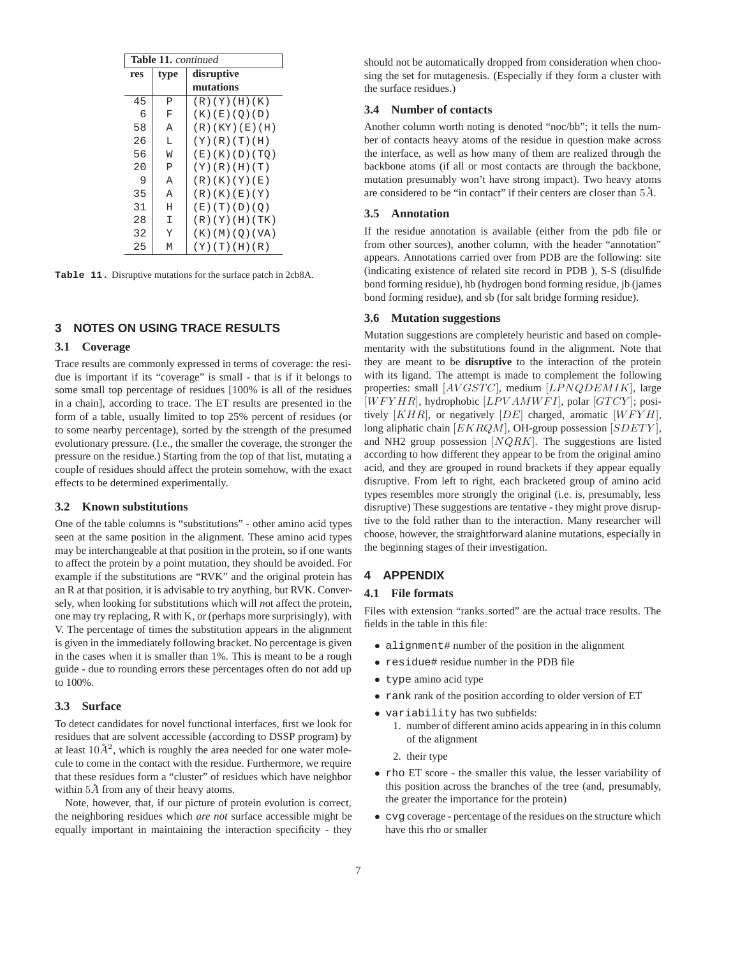| <b>Table 11.</b> continued |      |                          |  |  |
|----------------------------|------|--------------------------|--|--|
| res                        | type | disruptive               |  |  |
|                            |      | mutations                |  |  |
| 45                         | P    | (R)(Y)(H)(K)             |  |  |
| 6                          | F    | (K) (E) (O) (D)          |  |  |
| 58                         | A    | (R)(KY)(E)(H)            |  |  |
| 26                         | L    | (Y)(R)(T)(H)             |  |  |
| 56                         | W    | (E)(K)(D)(TO)            |  |  |
| 20                         | P    | (Y)(R)(H)(T)             |  |  |
| 9                          | A    | (R)(K)(Y)(E)             |  |  |
| 35                         | A    | (R)(K)(E)(Y)             |  |  |
| 31                         | Η    | (E)(T)(D)(O)             |  |  |
| 28                         | I    | (R)(Y)(H)(TK)            |  |  |
| 32                         | Y    | $(K)$ $(M)$ $(O)$ $(VA)$ |  |  |
| 25                         | M    | (Y)(T)(H)(R)             |  |  |

**Table 11.** Disruptive mutations for the surface patch in 2cb8A.

## **3 NOTES ON USING TRACE RESULTS**

#### **3.1 Coverage**

Trace results are commonly expressed in terms of coverage: the residue is important if its "coverage" is small - that is if it belongs to some small top percentage of residues [100% is all of the residues in a chain], according to trace. The ET results are presented in the form of a table, usually limited to top 25% percent of residues (or to some nearby percentage), sorted by the strength of the presumed evolutionary pressure. (I.e., the smaller the coverage, the stronger the pressure on the residue.) Starting from the top of that list, mutating a couple of residues should affect the protein somehow, with the exact effects to be determined experimentally.

#### **3.2 Known substitutions**

One of the table columns is "substitutions" - other amino acid types seen at the same position in the alignment. These amino acid types may be interchangeable at that position in the protein, so if one wants to affect the protein by a point mutation, they should be avoided. For example if the substitutions are "RVK" and the original protein has an R at that position, it is advisable to try anything, but RVK. Conversely, when looking for substitutions which will *n*ot affect the protein, one may try replacing, R with K, or (perhaps more surprisingly), with V. The percentage of times the substitution appears in the alignment is given in the immediately following bracket. No percentage is given in the cases when it is smaller than 1%. This is meant to be a rough guide - due to rounding errors these percentages often do not add up to 100%.

#### **3.3 Surface**

To detect candidates for novel functional interfaces, first we look for residues that are solvent accessible (according to DSSP program) by at least  $10\AA^2$ , which is roughly the area needed for one water molecule to come in the contact with the residue. Furthermore, we require that these residues form a "cluster" of residues which have neighbor within  $5\AA$  from any of their heavy atoms.

Note, however, that, if our picture of protein evolution is correct, the neighboring residues which *are not* surface accessible might be equally important in maintaining the interaction specificity - they should not be automatically dropped from consideration when choosing the set for mutagenesis. (Especially if they form a cluster with the surface residues.)

#### **3.4 Number of contacts**

Another column worth noting is denoted "noc/bb"; it tells the number of contacts heavy atoms of the residue in question make across the interface, as well as how many of them are realized through the backbone atoms (if all or most contacts are through the backbone, mutation presumably won't have strong impact). Two heavy atoms are considered to be "in contact" if their centers are closer than  $5\AA$ .

#### **3.5 Annotation**

If the residue annotation is available (either from the pdb file or from other sources), another column, with the header "annotation" appears. Annotations carried over from PDB are the following: site (indicating existence of related site record in PDB ), S-S (disulfide bond forming residue), hb (hydrogen bond forming residue, jb (james bond forming residue), and sb (for salt bridge forming residue).

## **3.6 Mutation suggestions**

Mutation suggestions are completely heuristic and based on complementarity with the substitutions found in the alignment. Note that they are meant to be **disruptive** to the interaction of the protein with its ligand. The attempt is made to complement the following properties: small  $[AVGSTC]$ , medium  $[LPNQDEMIK]$ , large  $[WFYHR]$ , hydrophobic  $[LPVAMWFI]$ , polar  $[GTCY]$ ; positively  $[KHR]$ , or negatively  $[DE]$  charged, aromatic  $[WFYH]$ , long aliphatic chain [EKRQM], OH-group possession [SDETY], and NH2 group possession  $[NQRK]$ . The suggestions are listed according to how different they appear to be from the original amino acid, and they are grouped in round brackets if they appear equally disruptive. From left to right, each bracketed group of amino acid types resembles more strongly the original (i.e. is, presumably, less disruptive) These suggestions are tentative - they might prove disruptive to the fold rather than to the interaction. Many researcher will choose, however, the straightforward alanine mutations, especially in the beginning stages of their investigation.

#### **4 APPENDIX**

#### **4.1 File formats**

Files with extension "ranks sorted" are the actual trace results. The fields in the table in this file:

- alignment# number of the position in the alignment
- residue# residue number in the PDB file
- type amino acid type
- rank rank of the position according to older version of ET
- variability has two subfields:
	- 1. number of different amino acids appearing in in this column of the alignment
	- 2. their type
- rho ET score the smaller this value, the lesser variability of this position across the branches of the tree (and, presumably, the greater the importance for the protein)
- cvg coverage percentage of the residues on the structure which have this rho or smaller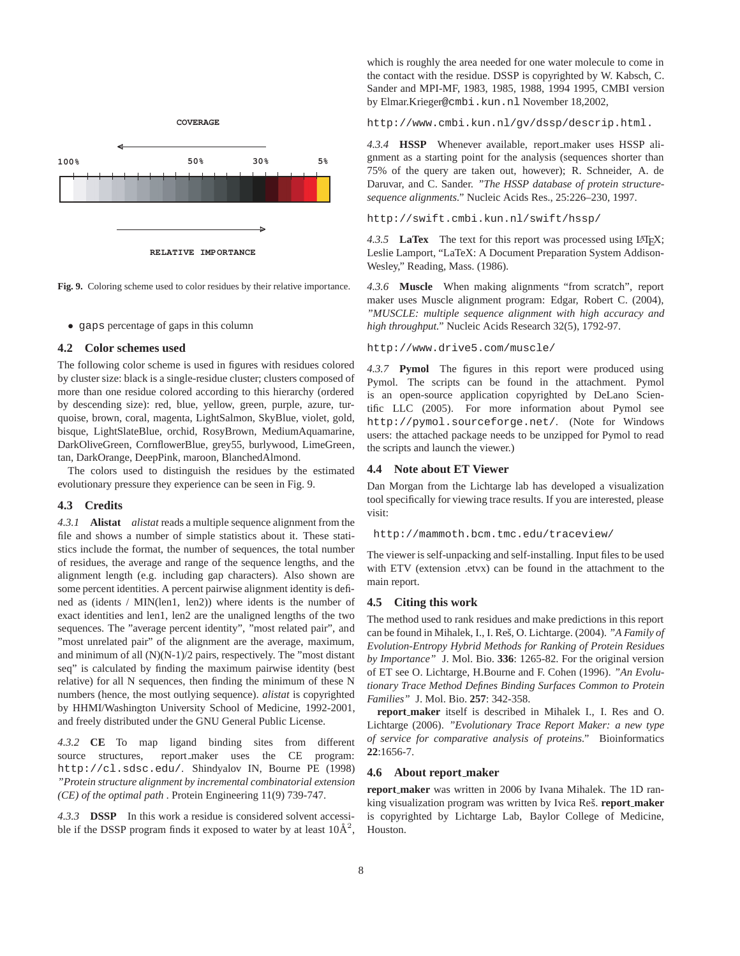

**Fig. 9.** Coloring scheme used to color residues by their relative importance.

• gaps percentage of gaps in this column

#### **4.2 Color schemes used**

The following color scheme is used in figures with residues colored by cluster size: black is a single-residue cluster; clusters composed of more than one residue colored according to this hierarchy (ordered by descending size): red, blue, yellow, green, purple, azure, turquoise, brown, coral, magenta, LightSalmon, SkyBlue, violet, gold, bisque, LightSlateBlue, orchid, RosyBrown, MediumAquamarine, DarkOliveGreen, CornflowerBlue, grey55, burlywood, LimeGreen, tan, DarkOrange, DeepPink, maroon, BlanchedAlmond.

The colors used to distinguish the residues by the estimated evolutionary pressure they experience can be seen in Fig. 9.

#### **4.3 Credits**

*4.3.1* **Alistat** *alistat* reads a multiple sequence alignment from the file and shows a number of simple statistics about it. These statistics include the format, the number of sequences, the total number of residues, the average and range of the sequence lengths, and the alignment length (e.g. including gap characters). Also shown are some percent identities. A percent pairwise alignment identity is defined as (idents / MIN(len1, len2)) where idents is the number of exact identities and len1, len2 are the unaligned lengths of the two sequences. The "average percent identity", "most related pair", and "most unrelated pair" of the alignment are the average, maximum, and minimum of all (N)(N-1)/2 pairs, respectively. The "most distant seq" is calculated by finding the maximum pairwise identity (best relative) for all N sequences, then finding the minimum of these N numbers (hence, the most outlying sequence). *alistat* is copyrighted by HHMI/Washington University School of Medicine, 1992-2001, and freely distributed under the GNU General Public License.

*4.3.2* **CE** To map ligand binding sites from different source structures, report maker uses the CE program: http://cl.sdsc.edu/. Shindyalov IN, Bourne PE (1998) *"Protein structure alignment by incremental combinatorial extension (CE) of the optimal path* . Protein Engineering 11(9) 739-747.

*4.3.3* **DSSP** In this work a residue is considered solvent accessible if the DSSP program finds it exposed to water by at least  $10\text{\AA}^2$ ,

which is roughly the area needed for one water molecule to come in the contact with the residue. DSSP is copyrighted by W. Kabsch, C. Sander and MPI-MF, 1983, 1985, 1988, 1994 1995, CMBI version by Elmar.Krieger@cmbi.kun.nl November 18,2002,

http://www.cmbi.kun.nl/gv/dssp/descrip.html.

*4.3.4* **HSSP** Whenever available, report maker uses HSSP alignment as a starting point for the analysis (sequences shorter than 75% of the query are taken out, however); R. Schneider, A. de Daruvar, and C. Sander. *"The HSSP database of protein structuresequence alignments."* Nucleic Acids Res., 25:226–230, 1997.

http://swift.cmbi.kun.nl/swift/hssp/

4.3.5 **LaTex** The text for this report was processed using LAT<sub>E</sub>X; Leslie Lamport, "LaTeX: A Document Preparation System Addison-Wesley," Reading, Mass. (1986).

*4.3.6* **Muscle** When making alignments "from scratch", report maker uses Muscle alignment program: Edgar, Robert C. (2004), *"MUSCLE: multiple sequence alignment with high accuracy and high throughput."* Nucleic Acids Research 32(5), 1792-97.

#### http://www.drive5.com/muscle/

*4.3.7* **Pymol** The figures in this report were produced using Pymol. The scripts can be found in the attachment. Pymol is an open-source application copyrighted by DeLano Scientific LLC (2005). For more information about Pymol see http://pymol.sourceforge.net/. (Note for Windows users: the attached package needs to be unzipped for Pymol to read the scripts and launch the viewer.)

# **4.4 Note about ET Viewer**

Dan Morgan from the Lichtarge lab has developed a visualization tool specifically for viewing trace results. If you are interested, please visit:

http://mammoth.bcm.tmc.edu/traceview/

The viewer is self-unpacking and self-installing. Input files to be used with ETV (extension .etvx) can be found in the attachment to the main report.

#### **4.5 Citing this work**

The method used to rank residues and make predictions in this report can be found in Mihalek, I., I. Res, O. Lichtarge. (2004). ˇ *"A Family of Evolution-Entropy Hybrid Methods for Ranking of Protein Residues by Importance"* J. Mol. Bio. **336**: 1265-82. For the original version of ET see O. Lichtarge, H.Bourne and F. Cohen (1996). *"An Evolutionary Trace Method Defines Binding Surfaces Common to Protein Families"* J. Mol. Bio. **257**: 342-358.

**report maker** itself is described in Mihalek I., I. Res and O. Lichtarge (2006). *"Evolutionary Trace Report Maker: a new type of service for comparative analysis of proteins."* Bioinformatics **22**:1656-7.

#### **4.6 About report maker**

**report maker** was written in 2006 by Ivana Mihalek. The 1D ranking visualization program was written by Ivica Reš. **report\_maker** is copyrighted by Lichtarge Lab, Baylor College of Medicine, Houston.